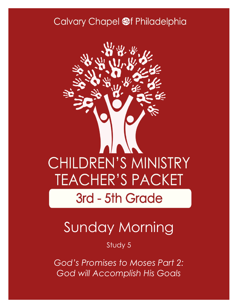### Calvary Chapel @f Philadelphia



# Sunday Morning

Study 5

*God's Promises to Moses Part 2: God will Accomplish His Goals*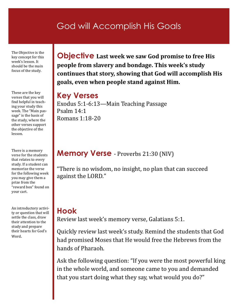### God will Accomplish His Goals

The Objective is the key concept for this week's lesson. It should be the main focus of the study.

These are the key verses that you will find helpful in teaching your study this week. The "Main passage" is the basis of the study, where the other verses support the objective of the lesson.

There is a memory verse for the students that relates to every study. If a student can memorize the verse for the following week you may give them a prize from the "reward box" found on your cart.

An introductory activity or question that will settle the class, draw their attention to the study and prepare their hearts for God's Word.

**Objective Last week we saw God promise to free His people from slavery and bondage. This week's study continues that story, showing that God will accomplish His goals, even when people stand against Him.** 

### **Key Verses**

Exodus 5:1-6:13—Main Teaching Passage Psalm 14:1 Romans 1:18-20

### **Memory Verse** - Proverbs 21:30 (NIV)

"There is no wisdom, no insight, no plan that can succeed against the LORD."

### **Hook**

Review last week's memory verse, Galatians 5:1.

Quickly review last week's study. Remind the students that God had promised Moses that He would free the Hebrews from the hands of Pharaoh.

Ask the following question: "If you were the most powerful king in the whole world, and someone came to you and demanded that you start doing what they say, what would you do?"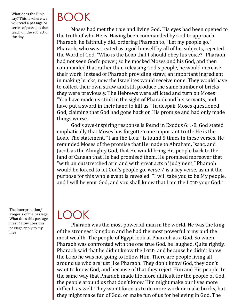What does the Bible say? This is where we will read a passage or series of passages that teach on the subject of the day.

BOOK

Moses had met the true and living God. His eyes had been opened to the truth of who He is. Having been commanded by God to approach Pharaoh, he faithfully did, ordering Pharaoh to, "Let my people go." Pharaoh, who was treated as a god himself by all of his subjects, rejected the Word of God. "Who is the LORD that I should obey his voice?" Pharaoh had not seen God's power, so he mocked Moses and his God, and then commanded that rather than releasing God's people, he would increase their work. Instead of Pharaoh providing straw, an important ingredient in making bricks, now the Israelites would receive none. They would have to collect their own straw and still produce the same number of bricks they were previously. The Hebrews were afflicted and turn on Moses: "You have made us stink in the sight of Pharaoh and his servants, and have put a sword in their hand to kill us." In despair Moses questioned God, claiming that God had gone back on His promise and had only made things worse.

God's awe-inspiring response is found in Exodus 6:1-8. God stated emphatically that Moses has forgotten one important truth: He is the LORD. The statement, "I am the LORD" is found 5 times in these verses. He reminded Moses of the promise that He made to Abraham, Isaac, and Jacob as the Almighty God, that He would bring His people back to the land of Canaan that He had promised them. He promised moreover that "with an outstretched arm and with great acts of judgment," Pharaoh would be forced to let God's people go. Verse 7 is a key verse, as in it the purpose for this whole event is revealed: "I will take you to be My people, and I will be your God, and you shall know that I am the LORD your God."

The interpretation/ exegesis of the passage. What does this passage mean? How does this passage apply to my life?

## LOOK

Pharaoh was the most powerful man in the world. He was the king of the strongest kingdom and he had the most powerful army and the most wealth. The people of Egypt look at Pharaoh as a God. So when Pharaoh was confronted with the one true God, he laughed. Quite rightly, Pharaoh said that he didn't know the LORD, and because he didn't know the LORD he was not going to follow Him. There are people living all around us who are just like Pharaoh. They don't know God, they don't want to know God, and because of that they reject Him and His people. In the same way that Pharaoh made life more difficult for the people of God, the people around us that don't know Him might make our lives more difficult as well. They won't force us to do more work or make bricks, but they might make fun of God, or make fun of us for believing in God. The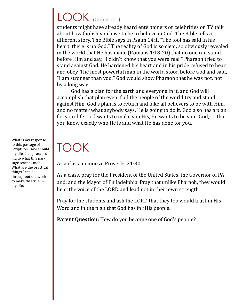# LOOK (Continued)

students might have already heard entertainers or celebrities on TV talk about how foolish you have to be to believe in God. The Bible tells a different story. The Bible says in Psalm 14:1, "The fool has said in his heart, there is no God." The reality of God is so clear, so obviously revealed in the world that He has made (Romans 1:18-20) that no one can stand before Him and say, "I didn't know that you were real." Pharaoh tried to stand against God. He hardened his heart and in his pride refused to hear and obey. The most powerful man in the world stood before God and said, "I am stronger than you." God would show Pharaoh that he was not, not by a long way.

God has a plan for the earth and everyone in it, and God will accomplish that plan even if all the people of the world try and stand against Him. God's plan is to return and take all believers to be with Him, and no matter what anybody says, He is going to do it. God also has a plan for your life. God wants to make you His, He wants to be your God, so that you know exactly who He is and what He has done for you.

# TOOK

As a class memorize Proverbs 21:30.

As a class, pray for the President of the United States, the Governor of PA and, and the Mayor of Philadelphia. Pray that unlike Pharaoh, they would hear the voice of the LORD and lead not in their own strength.

Pray for the students and ask the LORD that they too would trust in His Word and in the plan that God has for His people.

Parent Question: How do you become one of God's people?

What is my response to this passage of Scripture? How should my life change according to what this passage teaches me? What are the practical things I can do throughout the week to make this true in my life?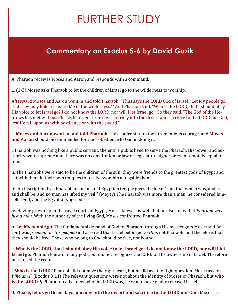# FURTHER STUDY

### **Commentary on Exodus 5-6 by David Guzik**

A. Pharaoh receives Moses and Aaron and responds with a command.

1. (1-3) Moses asks Pharaoh to let the children of Israel go to the wilderness to worship.

Afterward Moses and Aaron went in and told Pharaoh, "Thus says the LORD God of Israel: 'Let My people go, that they may hold a feast to Me in the wilderness.'" And Pharaoh said, "Who *is* the LORD, that I should obey His voice to let Israel go? I do not know the LORD, nor will I let Israel go." So they said, "The God of the Hebrews has met with us. Please, let us go three days' journey into the desert and sacrifice to the LORD our God, lest He fall upon us with pestilence or with the sword."

a. **Moses and Aaron went in and told Pharaoh**: This confrontation took tremendous courage, and **Moses and Aaron** should be commended for their obedience to God in doing it.

i. Pharaoh was nothing like a public servant; the entire public lived to serve the Pharaoh. His power and authority were supreme and there was no constitution or law or legislature higher or even remotely equal to him.

ii. The Pharaohs were said to be the children of the sun; they were friends to the greatest gods of Egypt and sat with them in their own temples to receive worship alongside them.

iii. An inscription by a Pharaoh on an ancient Egyptian temple gives the idea: "I am that which was, and is, and shall be, and no man has lifted my veil." (Meyer) The Pharaoh was more than a man; he considered himself a god, and the Egyptians agreed.

iv. Having grown up in the royal courts of Egypt, Moses knew this well; but he also knew that *Pharaoh was just a man*. With the authority of the living God, Moses confronted Pharaoh.

b. **Let My people go**: The fundamental demand of God to Pharaoh (through His messengers Moses and Aaron) was *freedom* for *His people*. God asserted that Israel belonged to *Him*, not Pharaoh; and therefore, that they should be free. Those who belong to God should be free, not bound.

c. **Who** *is* **the LORD, that I should obey His voice to let Israel go? I do not know the LORD, nor will I let Israel go**: Pharaoh knew of many gods, but did not recognize the LORD or His ownership of Israel. Therefore he refused the request.

i. **Who is the LORD?** Pharaoh did not have the right heart, but he did ask the right question. Moses asked *Who am I?* (Exodus 3:11) The relevant questions were not about the identity of Moses or Pharaoh, but **who is the LORD?** *If* Pharaoh really knew who the LORD was, he would have gladly released Israel.

d. **Please, let us go three days' journey into the desert and sacrifice to the LORD our God**: Moses re-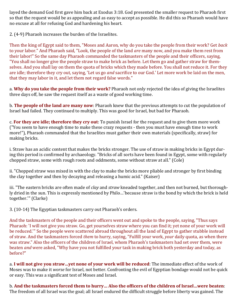layed the demand God first gave him back at Exodus 3:18. God presented the smaller request to Pharaoh first so that the request would be as appealing and as easy to accept as possible. He did this so Pharaoh would have no excuse at all for refusing God and hardening his heart.

2. (4-9) Pharaoh increases the burden of the Israelites.

Then the king of Egypt said to them, "Moses and Aaron, why do you take the people from their work? Get *back*  to your labor." And Pharaoh said, "Look, the people of the land *are* many now, and you make them rest from their labor!" So the same day Pharaoh commanded the taskmasters of the people and their officers, saying, "You shall no longer give the people straw to make brick as before. Let them go and gather straw for themselves. And you shall lay on them the quota of bricks which they made before. You shall not reduce it. For they are idle; therefore they cry out, saying, 'Let us go *and* sacrifice to our God.' Let more work be laid on the men, that they may labor in it, and let them not regard false words."

a. **Why do you take the people from their work?** Pharaoh not only rejected the idea of giving the Israelites three days off, he saw the request itself as a waste of good working time.

b. **The people of the land are many now**: Pharaoh knew that the previous attempts to cut the population of Israel had failed. They continued to multiply. This was good for Israel, but bad for Pharaoh.

c. **For they are idle; therefore they cry out**: To punish Israel for the request and to give them more work ("You seem to have enough time to make these crazy requests - then you must have enough time to work more!"), Pharaoh commanded that the Israelites must gather their own materials (specifically, straw) for making bricks.

i. Straw has an acidic content that makes the bricks stronger. The use of straw in making bricks in Egypt during this period is confirmed by archaeology. "Bricks of all sorts have been found in Egypt, some with regularly chopped straw, some with rough roots and oddments, some without straw at all." (Cole)

ii. "Chopped straw was mixed in with the clay to make the bricks more pliable and stronger by first binding the clay together and then by decaying and releasing a humic acid." (Kaiser)

iii. "The eastern bricks are often made of *clay* and *straw* kneaded together, and then not burned, but thoroughly dried in the sun. This is expressly mentioned by Philo…'because straw is the bond by which the brick is held together.'" (Clarke)

3. (10-14) The Egyptian taskmasters carry out Pharaoh's orders.

And the taskmasters of the people and their officers went out and spoke to the people, saying, "Thus says Pharaoh: 'I will not give you straw. Go, get yourselves straw where you can find it; yet none of your work will be reduced.'" So the people were scattered abroad throughout all the land of Egypt to gather stubble instead of straw. And the taskmasters forced *them* to hurry, saying, "Fulfill your work, *your* daily quota, as when there was straw." Also the officers of the children of Israel, whom Pharaoh's taskmasters had set over them, were beaten *and* were asked, "Why have you not fulfilled your task in making brick both yesterday and today, as before?"

a. **I will not give you straw…yet none of your work will be reduced**: The immediate effect of the work of Moses was to make it *worse* for Israel, not better. Confronting the evil of Egyptian bondage would not be quick or easy. This was a significant test of Moses and Israel.

b. **And the taskmasters forced them to hurry… Also the officers of the children of Israel…were beaten**: The freedom of all Israel was the goal; all Israel endured the difficult struggle before liberty was gained. The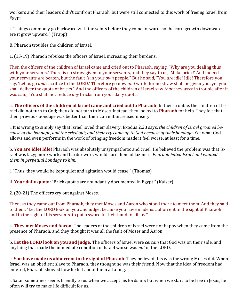workers and their leaders didn't confront Pharaoh, but were still connected to this work of freeing Israel from Egypt.

i. "Things commonly go backward with the saints before they come forward, so the corn growth downward ere it grow upward." (Trapp)

B. Pharaoh troubles the children of Israel.

1. (15-19) Pharaoh rebukes the officers of Israel, increasing their burdens.

Then the officers of the children of Israel came and cried out to Pharaoh, saying, "Why are you dealing thus with your servants? There is no straw given to your servants, and they say to us, 'Make brick!' And indeed your servants *are* beaten, but the fault *is* in your *own* people." But he said, "You *are* idle! Idle! Therefore you say, 'Let us go *and* sacrifice to the LORD.' Therefore go now *and* work; for no straw shall be given you, yet you shall deliver the quota of bricks." And the officers of the children of Israel saw *that* they *were* in trouble after it was said, "You shall not reduce *any* bricks from your daily quota."

a. **The officers of the children of Israel came and cried out to Pharaoh**: In their trouble, the children of Israel did not turn to God; they did not turn to Moses. Instead, they looked to **Pharaoh** for help. They felt that their previous bondage was better than their current increased misery.

i. It is wrong to simply say that Israel loved their slavery. Exodus 2:23 says, *the children of Israel groaned because of the bondage, and the cried out; and their cry came up to God because of their bondage*. Yet what God allows and even performs in the work of bringing freedom made it feel worse, at least for a time.

b. **You are idle! Idle!** Pharaoh was absolutely unsympathetic and cruel. He believed the problem was that Israel was lazy; more work and harder work would cure them of laziness. *Pharaoh hated Israel and wanted them in perpetual bondage to him.*

i. "Thus, they would be kept quiet and agitation would cease." (Thomas)

ii. **Your daily quota**: "Brick quotas are abundantly documented in Egypt." (Kaiser)

2. (20-21) The officers cry out against Moses.

Then, as they came out from Pharaoh, they met Moses and Aaron who stood there to meet them. And they said to them, "Let the LORD look on you and judge, because you have made us abhorrent in the sight of Pharaoh and in the sight of his servants, to put a sword in their hand to kill us."

a. **They met Moses and Aaron**: The leaders of the children of Israel were not happy when they came from the presence of Pharaoh, and they thought it was all the fault of Moses and Aaron.

b. **Let the LORD look on you and judge**: The officers of Israel were *certain* that God was on their side, and anything that made the immediate condition of Israel worse was *not* of the LORD.

c. **You have made us abhorrent in the sight of Pharaoh**: They believed this was the wrong Moses did. When Israel was an obedient slave to Pharaoh, they thought he was their friend. Now that the idea of freedom had entered, Pharaoh showed how he felt about them all along.

i. Satan sometimes seems friendly to us when we accept his lordship; but when we start to be free in Jesus, he often will try to make life difficult for us.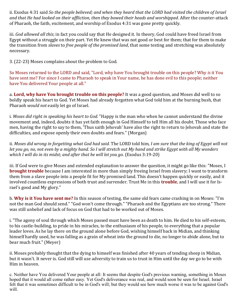ii. Exodus 4:31 said *So the people believed; and when they heard that the LORD had visited the children of Israel and that He had looked on their affliction, then they bowed their heads and worshipped*. After the counter-attack of Pharaoh, the faith, excitement, and worship of Exodus 4:31 was gone pretty quickly.

iii. *God allowed all this*; in fact you could say that He designed it. In theory, God could have freed Israel from Egypt without a struggle on their part. Yet He knew that was not good or best for them; that for them to make the transition from *slaves* to *free people of the promised land*, that some testing and stretching was absolutely necessary.

3. (22-23) Moses complains about the problem to God.

So Moses returned to the LORD and said, "Lord, why have You brought trouble on this people? Why *is* it You have sent me? For since I came to Pharaoh to speak in Your name, he has done evil to this people; neither have You delivered Your people at all."

a. **Lord, why have You brought trouble on this people?** It was a good question, and Moses did well to so boldly speak his heart to God. Yet Moses had already forgotten what God told him at the burning bush, that Pharaoh *would not* easily let go of Israel.

i. *Moses did right in speaking his heart to God.* "Happy is the man who when he cannot understand the divine movement and, indeed, doubts it has yet faith enough in God Himself to tell Him all his doubt. Those who face men, having the right to say to them, 'Thus saith Jehovah' have also the right to return to Jehovah and state the difficulties, and expose openly their own doubts and fears." (Morgan)

ii. *Moses did wrong in forgetting what God had said.* The LORD told him, *I am sure that the king of Egypt will not let you go, no, not even by a mighty hand. So I will stretch out My hand and strike Egypt with all My wonders which I will do in its midst; and after that he will let you go.* (Exodus 3:19-20)

iii. If God were to give Moses and extended explanation to answer the question, it might go like this: "Moses, I **brought trouble** because I am interested in more than simply freeing Israel from slavery; I want to transform them from a slave people into a people fit for My promised land. This doesn't happen quickly or easily, and it involved countless expressions of both trust and surrender. Trust Me in this **trouble**, and I will use it for Israel's good and My glory."

b. **Why is it You have sent me?** In this season of testing, the same old fears came crashing in on Moses: "I'm not the man God should send." "God won't come through." "Pharaoh and the Egyptians are too strong." There was still unbelief and lack of focus on God that had to be worked out of Moses.

i. "The agony of soul through which Moses passed must have been as death to him. He died to his self-esteem, to his castle-building, to pride in his miracles, to the enthusiasm of his people, to everything that a popular leader loves. As he lay there on the ground alone before God, wishing himself back in Midian, and thinking himself hardly used, he was falling as a grain of wheat into the ground to die, no longer to abide alone, but to bear much fruit." (Meyer)

ii. Moses probably thought that the dying to himself was finished after 40 years of tending sheep in Midian, but it wasn't. It never is. God still will use adversity to train us to trust in Him until the day we go to be with Him in heaven.

c. Neither have You delivered Your people at all: It seems that despite God's previous warning, something in Moses hoped that it would all come rather easy. Yet God's deliverance was real, and would soon be seen for Israel. Israel felt that it was sometimes difficult to be in God's will; but they would see how much worse it was to be against God's will.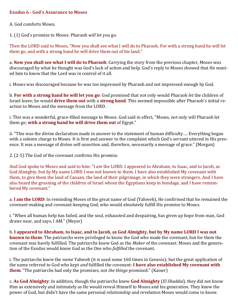#### **Exodus 6 - God's Assurance to Moses**

A. God comforts Moses.

1. (1) God's promise to Moses: Pharaoh *will* let you go.

Then the LORD said to Moses, "Now you shall see what I will do to Pharaoh. For with a strong hand he will let them go, and with a strong hand he will drive them out of his land."

a. **Now you shall see what I will do to Pharaoh**: Carrying the story from the previous chapter, Moses was discouraged by what he thought was God's lack of action and help. God's reply to Moses showed that He wanted him to know that the Lord was in control of it all.

i. Moses was discouraged because he was too impressed by Pharaoh and not impressed enough by God.

b. **For with a strong hand he will let you go**: God promised that not only would Pharaoh *let* the children of Israel leave; he would **drive them out** with a **strong hand**. This seemed impossible after Pharaoh's initial reaction to Moses and the message from the LORD.

i. This was a wonderful, grace-filled message to Moses. God said in effect, "Moses, not only will Pharaoh let them go; **with a strong hand he will drive them out** of Egypt."

ii. "This was the divine declaration made in answer to the statement of human difficulty…. Everything began with a solemn charge to Moses. It is first and answer to the complaint which God's servant uttered in His presence. It was a message of divine self-assertion and, therefore, necessarily a message of grace." (Morgan)

2. (2-5) The God of the covenant confirms His promise.

And God spoke to Moses and said to him: "I *am* the LORD. I appeared to Abraham, to Isaac, and to Jacob, as God Almighty, but *by* My name LORD I was not known to them. I have also established My covenant with them, to give them the land of Canaan, the land of their pilgrimage, in which they were strangers. And I have also heard the groaning of the children of Israel whom the Egyptians keep in bondage, and I have remembered My covenant."

a. **I am the LORD**: In reminding Moses of the great name of God (Yahweh), He confirmed that he remained the covenant-making and covenant-keeping God, who would absolutely fulfill His promise to Moses.

i. "When all human help has failed, and the soul, exhausted and despairing, has given up hope from man, God draws near, and says, I AM." (Meyer)

b. **I appeared to Abraham, to Isaac, and to Jacob, as God Almighty, but by My name LORD I was not known to them**: The patriarchs were privileged to know the God who made the covenant, but for them the covenant was barely fulfilled. The patriarchs knew God as the *Maker* of the covenant. Moses and the generation of the Exodus would know God as the One who *fulfilled* the covenant.

i. The patriarchs knew the *name* Yahweh (it is used some 160 times in Genesis); but the great application of the name referred to God who kept *and* fulfilled the covenant: **I have also established My covenant with them**. "The patriarchs had only the promises, not *the things* promised." (Kaiser)

c. **As God Almighty**: In addition, though the patriarchs knew **God Almighty** (*El Shaddai*), they did not know Him as extensively and intimately as He would reveal Himself to Moses and his generation. They knew the power of God, but didn't have the same personal relationship and revelation Moses would come to know.